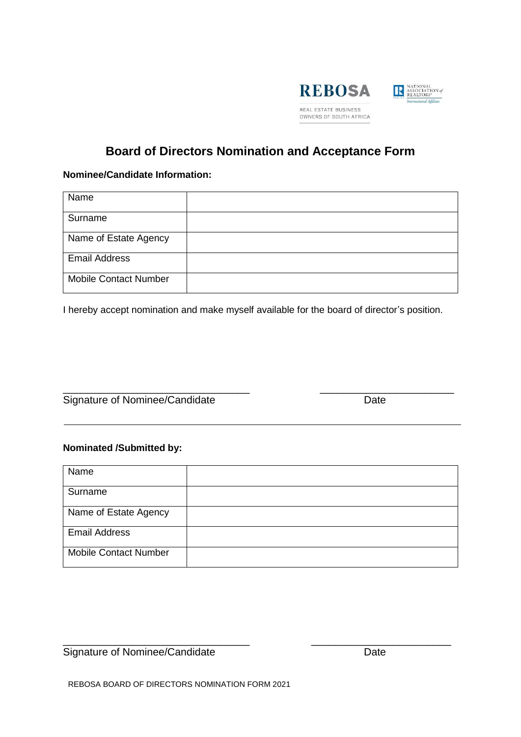



# **Board of Directors Nomination and Acceptance Form**

## **Nominee/Candidate Information:**

| Name                         |  |
|------------------------------|--|
| Surname                      |  |
| Name of Estate Agency        |  |
| <b>Email Address</b>         |  |
| <b>Mobile Contact Number</b> |  |

I hereby accept nomination and make myself available for the board of director's position.

\_\_\_\_\_\_\_\_\_\_\_\_\_\_\_\_\_\_\_\_\_\_\_\_\_\_\_\_\_\_\_\_ \_\_\_\_\_\_\_\_\_\_\_\_\_\_\_\_\_\_\_\_\_\_\_

Signature of Nominee/Candidate Date

## **Nominated /Submitted by:**

| Name                         |  |
|------------------------------|--|
| Surname                      |  |
| Name of Estate Agency        |  |
| <b>Email Address</b>         |  |
| <b>Mobile Contact Number</b> |  |

\_\_\_\_\_\_\_\_\_\_\_\_\_\_\_\_\_\_\_\_\_\_\_\_\_\_\_\_\_\_\_\_ \_\_\_\_\_\_\_\_\_\_\_\_\_\_\_\_\_\_\_\_\_\_\_\_ Signature of Nominee/Candidate Date

REBOSA BOARD OF DIRECTORS NOMINATION FORM 2021